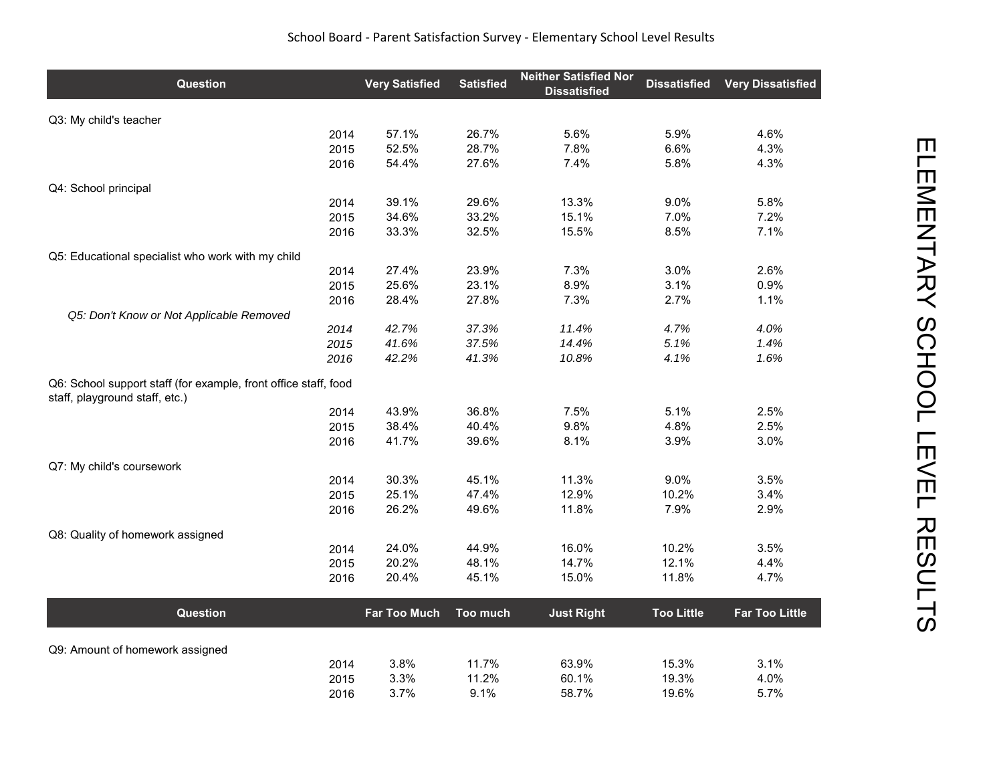| Question                                                                                          | <b>Very Satisfied</b> | <b>Satisfied</b> | <b>Neither Satisfied Nor</b><br><b>Dissatisfied</b> | <b>Dissatisfied</b> | <b>Very Dissatisfied</b> |
|---------------------------------------------------------------------------------------------------|-----------------------|------------------|-----------------------------------------------------|---------------------|--------------------------|
| Q3: My child's teacher                                                                            |                       |                  |                                                     |                     |                          |
| 2014                                                                                              | 57.1%                 | 26.7%            | 5.6%                                                | 5.9%                | 4.6%                     |
| 2015                                                                                              | 52.5%                 | 28.7%            | 7.8%                                                | 6.6%                | 4.3%                     |
| 2016                                                                                              | 54.4%                 | 27.6%            | 7.4%                                                | 5.8%                | 4.3%                     |
| Q4: School principal                                                                              |                       |                  |                                                     |                     |                          |
| 2014                                                                                              | 39.1%                 | 29.6%            | 13.3%                                               | 9.0%                | 5.8%                     |
| 2015                                                                                              | 34.6%                 | 33.2%            | 15.1%                                               | 7.0%                | 7.2%                     |
| 2016                                                                                              | 33.3%                 | 32.5%            | 15.5%                                               | 8.5%                | 7.1%                     |
| Q5: Educational specialist who work with my child                                                 |                       |                  |                                                     |                     |                          |
| 2014                                                                                              | 27.4%                 | 23.9%            | 7.3%                                                | 3.0%                | 2.6%                     |
| 2015                                                                                              | 25.6%                 | 23.1%            | 8.9%                                                | 3.1%                | 0.9%                     |
| 2016                                                                                              | 28.4%                 | 27.8%            | 7.3%                                                | 2.7%                | 1.1%                     |
| Q5: Don't Know or Not Applicable Removed<br>2014                                                  | 42.7%                 | 37.3%            | 11.4%                                               | 4.7%                | 4.0%                     |
| 2015                                                                                              | 41.6%                 | 37.5%            | 14.4%                                               | 5.1%                | 1.4%                     |
| 2016                                                                                              | 42.2%                 | 41.3%            | 10.8%                                               | 4.1%                | 1.6%                     |
| Q6: School support staff (for example, front office staff, food<br>staff, playground staff, etc.) |                       |                  |                                                     |                     |                          |
| 2014                                                                                              | 43.9%                 | 36.8%            | 7.5%                                                | 5.1%                | 2.5%                     |
| 2015                                                                                              | 38.4%                 | 40.4%            | 9.8%                                                | 4.8%                | 2.5%                     |
| 2016                                                                                              | 41.7%                 | 39.6%            | 8.1%                                                | 3.9%                | 3.0%                     |
| Q7: My child's coursework                                                                         |                       |                  |                                                     |                     |                          |
| 2014                                                                                              | 30.3%                 | 45.1%            | 11.3%                                               | 9.0%                | 3.5%                     |
| 2015                                                                                              | 25.1%                 | 47.4%            | 12.9%                                               | 10.2%               | 3.4%                     |
| 2016                                                                                              | 26.2%                 | 49.6%            | 11.8%                                               | 7.9%                | 2.9%                     |
| Q8: Quality of homework assigned                                                                  |                       |                  |                                                     |                     |                          |
| 2014                                                                                              | 24.0%                 | 44.9%            | 16.0%                                               | 10.2%               | 3.5%                     |
| 2015                                                                                              | 20.2%                 | 48.1%            | 14.7%                                               | 12.1%               | 4.4%                     |
| 2016                                                                                              | 20.4%                 | 45.1%            | 15.0%                                               | 11.8%               | 4.7%                     |
| Question                                                                                          | Far Too Much          | Too much         | <b>Just Right</b>                                   | <b>Too Little</b>   | <b>Far Too Little</b>    |
|                                                                                                   |                       |                  |                                                     |                     |                          |
| Q9: Amount of homework assigned                                                                   |                       |                  |                                                     |                     |                          |
| 2014<br>2015                                                                                      | 3.8%<br>3.3%          | 11.7%<br>11.2%   | 63.9%<br>60.1%                                      | 15.3%<br>19.3%      | 3.1%<br>4.0%             |
| 2016                                                                                              | 3.7%                  | 9.1%             | 58.7%                                               | 19.6%               | 5.7%                     |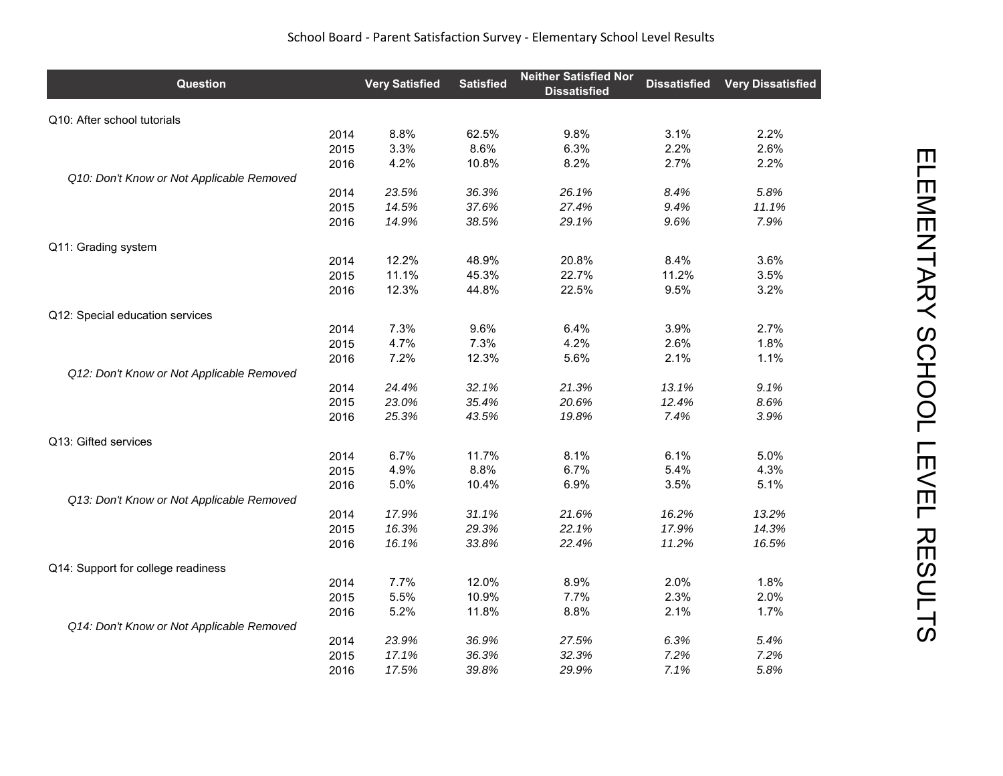| <b>Question</b>                           |      | <b>Very Satisfied</b> | <b>Satisfied</b> | <b>Neither Satisfied Nor</b><br><b>Dissatisfied</b> | <b>Dissatisfied</b> | <b>Very Dissatisfied</b> |
|-------------------------------------------|------|-----------------------|------------------|-----------------------------------------------------|---------------------|--------------------------|
| Q10: After school tutorials               |      |                       |                  |                                                     |                     |                          |
|                                           | 2014 | 8.8%                  | 62.5%            | 9.8%                                                | 3.1%                | 2.2%                     |
|                                           | 2015 | 3.3%                  | 8.6%             | 6.3%                                                | 2.2%                | 2.6%                     |
|                                           | 2016 | 4.2%                  | 10.8%            | 8.2%                                                | 2.7%                | 2.2%                     |
| Q10: Don't Know or Not Applicable Removed |      |                       |                  |                                                     |                     |                          |
|                                           | 2014 | 23.5%                 | 36.3%            | 26.1%                                               | 8.4%                | 5.8%                     |
|                                           | 2015 | 14.5%                 | 37.6%            | 27.4%                                               | 9.4%                | 11.1%                    |
|                                           | 2016 | 14.9%                 | 38.5%            | 29.1%                                               | 9.6%                | 7.9%                     |
| Q11: Grading system                       |      |                       |                  |                                                     |                     |                          |
|                                           | 2014 | 12.2%                 | 48.9%            | 20.8%                                               | 8.4%                | 3.6%                     |
|                                           | 2015 | 11.1%                 | 45.3%            | 22.7%                                               | 11.2%               | 3.5%                     |
|                                           | 2016 | 12.3%                 | 44.8%            | 22.5%                                               | 9.5%                | 3.2%                     |
| Q12: Special education services           |      |                       |                  |                                                     |                     |                          |
|                                           | 2014 | 7.3%                  | 9.6%             | 6.4%                                                | 3.9%                | 2.7%                     |
|                                           | 2015 | 4.7%                  | 7.3%             | 4.2%                                                | 2.6%                | 1.8%                     |
|                                           | 2016 | 7.2%                  | 12.3%            | 5.6%                                                | 2.1%                | 1.1%                     |
| Q12: Don't Know or Not Applicable Removed |      |                       |                  |                                                     |                     |                          |
|                                           | 2014 | 24.4%                 | 32.1%            | 21.3%                                               | 13.1%               | 9.1%                     |
|                                           | 2015 | 23.0%                 | 35.4%            | 20.6%                                               | 12.4%               | 8.6%                     |
|                                           | 2016 | 25.3%                 | 43.5%            | 19.8%                                               | 7.4%                | 3.9%                     |
| Q13: Gifted services                      |      |                       |                  |                                                     |                     |                          |
|                                           | 2014 | 6.7%                  | 11.7%            | 8.1%                                                | 6.1%                | 5.0%                     |
|                                           | 2015 | 4.9%                  | 8.8%             | 6.7%                                                | 5.4%                | 4.3%                     |
|                                           | 2016 | 5.0%                  | 10.4%            | 6.9%                                                | 3.5%                | 5.1%                     |
| Q13: Don't Know or Not Applicable Removed |      |                       |                  |                                                     |                     |                          |
|                                           | 2014 | 17.9%                 | 31.1%            | 21.6%                                               | 16.2%               | 13.2%                    |
|                                           | 2015 | 16.3%                 | 29.3%            | 22.1%                                               | 17.9%               | 14.3%                    |
|                                           | 2016 | 16.1%                 | 33.8%            | 22.4%                                               | 11.2%               | 16.5%                    |
| Q14: Support for college readiness        |      |                       |                  |                                                     |                     |                          |
|                                           | 2014 | 7.7%                  | 12.0%            | 8.9%                                                | 2.0%                | 1.8%                     |
|                                           | 2015 | 5.5%                  | 10.9%            | 7.7%                                                | 2.3%                | 2.0%                     |
|                                           | 2016 | 5.2%                  | 11.8%            | 8.8%                                                | 2.1%                | 1.7%                     |
| Q14: Don't Know or Not Applicable Removed |      |                       |                  |                                                     |                     |                          |
|                                           | 2014 | 23.9%                 | 36.9%            | 27.5%                                               | 6.3%                | 5.4%                     |
|                                           | 2015 | 17.1%                 | 36.3%            | 32.3%                                               | 7.2%                | 7.2%                     |
|                                           | 2016 | 17.5%                 | 39.8%            | 29.9%                                               | 7.1%                | 5.8%                     |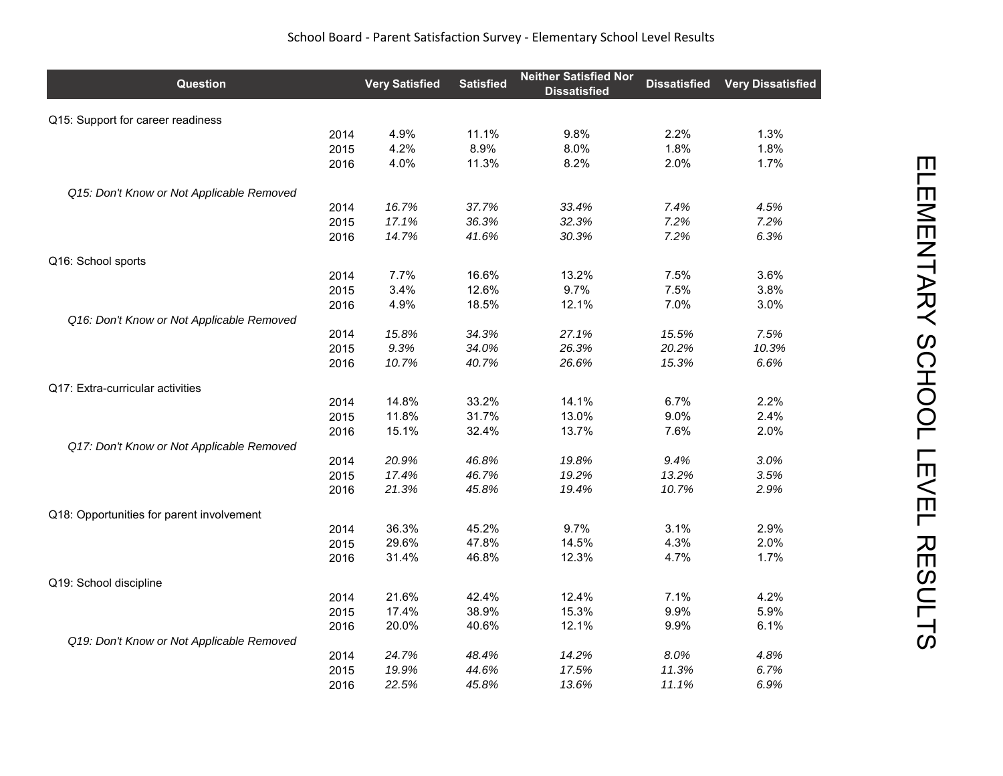| Question                                  |      | <b>Very Satisfied</b> | <b>Satisfied</b> | <b>Neither Satisfied Nor</b><br><b>Dissatisfied</b> | <b>Dissatisfied</b> | <b>Very Dissatisfied</b> |
|-------------------------------------------|------|-----------------------|------------------|-----------------------------------------------------|---------------------|--------------------------|
| Q15: Support for career readiness         |      |                       |                  |                                                     |                     |                          |
|                                           | 2014 | 4.9%                  | 11.1%            | 9.8%                                                | 2.2%                | 1.3%                     |
|                                           | 2015 | 4.2%                  | 8.9%             | 8.0%                                                | 1.8%                | 1.8%                     |
|                                           | 2016 | 4.0%                  | 11.3%            | 8.2%                                                | 2.0%                | 1.7%                     |
| Q15: Don't Know or Not Applicable Removed |      |                       |                  |                                                     |                     |                          |
|                                           | 2014 | 16.7%                 | 37.7%            | 33.4%                                               | 7.4%                | 4.5%                     |
|                                           | 2015 | 17.1%                 | 36.3%            | 32.3%                                               | 7.2%                | 7.2%                     |
|                                           | 2016 | 14.7%                 | 41.6%            | 30.3%                                               | 7.2%                | 6.3%                     |
| Q16: School sports                        |      |                       |                  |                                                     |                     |                          |
|                                           | 2014 | 7.7%                  | 16.6%            | 13.2%                                               | 7.5%                | 3.6%                     |
|                                           | 2015 | 3.4%                  | 12.6%            | 9.7%                                                | 7.5%                | 3.8%                     |
|                                           | 2016 | 4.9%                  | 18.5%            | 12.1%                                               | 7.0%                | 3.0%                     |
| Q16: Don't Know or Not Applicable Removed |      |                       |                  |                                                     |                     |                          |
|                                           | 2014 | 15.8%                 | 34.3%            | 27.1%                                               | 15.5%               | 7.5%                     |
|                                           | 2015 | 9.3%                  | 34.0%            | 26.3%                                               | 20.2%               | 10.3%                    |
|                                           | 2016 | 10.7%                 | 40.7%            | 26.6%                                               | 15.3%               | 6.6%                     |
| Q17: Extra-curricular activities          |      |                       |                  |                                                     |                     |                          |
|                                           | 2014 | 14.8%                 | 33.2%            | 14.1%                                               | 6.7%                | 2.2%                     |
|                                           | 2015 | 11.8%                 | 31.7%            | 13.0%                                               | 9.0%                | 2.4%                     |
|                                           | 2016 | 15.1%                 | 32.4%            | 13.7%                                               | 7.6%                | 2.0%                     |
| Q17: Don't Know or Not Applicable Removed |      |                       |                  |                                                     |                     |                          |
|                                           | 2014 | 20.9%                 | 46.8%            | 19.8%                                               | 9.4%                | 3.0%                     |
|                                           | 2015 | 17.4%                 | 46.7%            | 19.2%                                               | 13.2%               | 3.5%                     |
|                                           | 2016 | 21.3%                 | 45.8%            | 19.4%                                               | 10.7%               | 2.9%                     |
| Q18: Opportunities for parent involvement |      |                       |                  |                                                     |                     |                          |
|                                           | 2014 | 36.3%                 | 45.2%            | 9.7%                                                | 3.1%                | 2.9%                     |
|                                           | 2015 | 29.6%                 | 47.8%            | 14.5%                                               | 4.3%                | 2.0%                     |
|                                           | 2016 | 31.4%                 | 46.8%            | 12.3%                                               | 4.7%                | 1.7%                     |
| Q19: School discipline                    |      |                       |                  |                                                     |                     |                          |
|                                           | 2014 | 21.6%                 | 42.4%            | 12.4%                                               | 7.1%                | 4.2%                     |
|                                           | 2015 | 17.4%                 | 38.9%            | 15.3%                                               | 9.9%                | 5.9%                     |
|                                           | 2016 | 20.0%                 | 40.6%            | 12.1%                                               | 9.9%                | 6.1%                     |
| Q19: Don't Know or Not Applicable Removed |      |                       |                  |                                                     |                     |                          |
|                                           | 2014 | 24.7%                 | 48.4%            | 14.2%                                               | 8.0%                | 4.8%                     |
|                                           | 2015 | 19.9%                 | 44.6%            | 17.5%                                               | 11.3%               | 6.7%                     |
|                                           | 2016 | 22.5%                 | 45.8%            | 13.6%                                               | 11.1%               | 6.9%                     |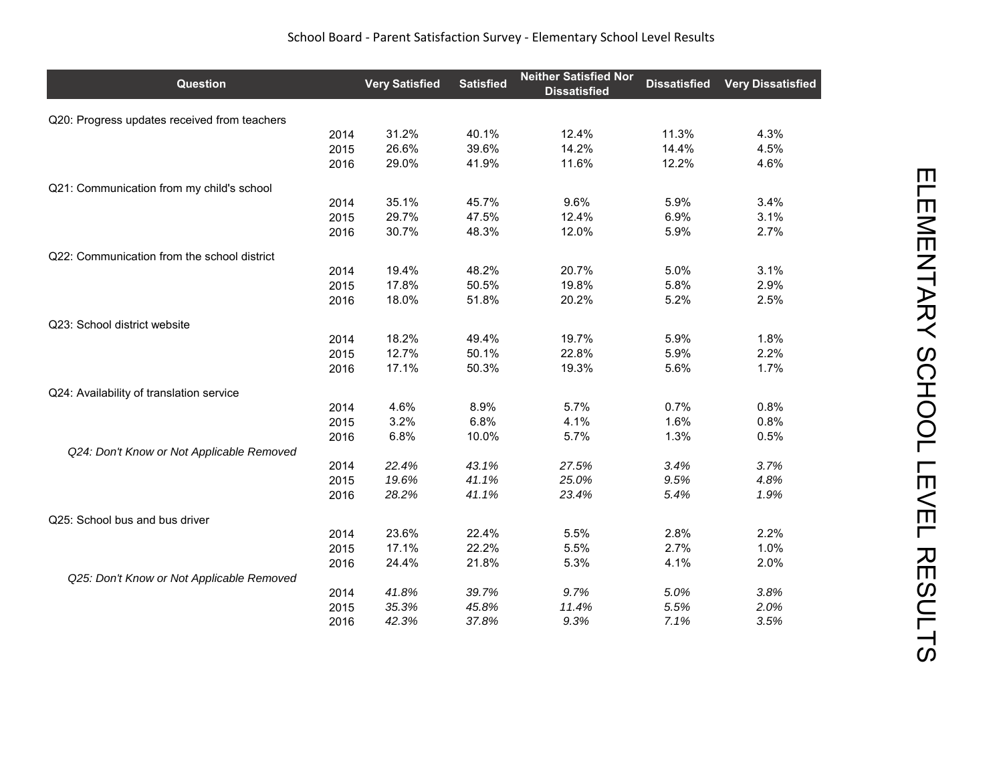| Question                                     |      | <b>Very Satisfied</b> | <b>Satisfied</b> | <b>Neither Satisfied Nor</b><br><b>Dissatisfied</b> | <b>Dissatisfied</b> | <b>Very Dissatisfied</b> |
|----------------------------------------------|------|-----------------------|------------------|-----------------------------------------------------|---------------------|--------------------------|
| Q20: Progress updates received from teachers |      |                       |                  |                                                     |                     |                          |
|                                              | 2014 | 31.2%                 | 40.1%            | 12.4%                                               | 11.3%               | 4.3%                     |
|                                              | 2015 | 26.6%                 | 39.6%            | 14.2%                                               | 14.4%               | 4.5%                     |
|                                              | 2016 | 29.0%                 | 41.9%            | 11.6%                                               | 12.2%               | 4.6%                     |
| Q21: Communication from my child's school    |      |                       |                  |                                                     |                     |                          |
|                                              | 2014 | 35.1%                 | 45.7%            | 9.6%                                                | 5.9%                | 3.4%                     |
|                                              | 2015 | 29.7%                 | 47.5%            | 12.4%                                               | 6.9%                | 3.1%                     |
|                                              | 2016 | 30.7%                 | 48.3%            | 12.0%                                               | 5.9%                | 2.7%                     |
| Q22: Communication from the school district  |      |                       |                  |                                                     |                     |                          |
|                                              | 2014 | 19.4%                 | 48.2%            | 20.7%                                               | 5.0%                | 3.1%                     |
|                                              | 2015 | 17.8%                 | 50.5%            | 19.8%                                               | 5.8%                | 2.9%                     |
|                                              | 2016 | 18.0%                 | 51.8%            | 20.2%                                               | 5.2%                | 2.5%                     |
| Q23: School district website                 |      |                       |                  |                                                     |                     |                          |
|                                              | 2014 | 18.2%                 | 49.4%            | 19.7%                                               | 5.9%                | 1.8%                     |
|                                              | 2015 | 12.7%                 | 50.1%            | 22.8%                                               | 5.9%                | 2.2%                     |
|                                              | 2016 | 17.1%                 | 50.3%            | 19.3%                                               | 5.6%                | 1.7%                     |
| Q24: Availability of translation service     |      |                       |                  |                                                     |                     |                          |
|                                              | 2014 | 4.6%                  | 8.9%             | 5.7%                                                | 0.7%                | 0.8%                     |
|                                              | 2015 | 3.2%                  | 6.8%             | 4.1%                                                | 1.6%                | 0.8%                     |
|                                              | 2016 | 6.8%                  | 10.0%            | 5.7%                                                | 1.3%                | 0.5%                     |
| Q24: Don't Know or Not Applicable Removed    |      |                       |                  |                                                     |                     |                          |
|                                              | 2014 | 22.4%                 | 43.1%            | 27.5%                                               | 3.4%                | 3.7%                     |
|                                              | 2015 | 19.6%                 | 41.1%            | 25.0%                                               | 9.5%                | 4.8%                     |
|                                              | 2016 | 28.2%                 | 41.1%            | 23.4%                                               | 5.4%                | 1.9%                     |
| Q25: School bus and bus driver               |      |                       |                  |                                                     |                     |                          |
|                                              | 2014 | 23.6%                 | 22.4%            | 5.5%                                                | 2.8%                | 2.2%                     |
|                                              | 2015 | 17.1%                 | 22.2%            | 5.5%                                                | 2.7%                | 1.0%                     |
|                                              | 2016 | 24.4%                 | 21.8%            | 5.3%                                                | 4.1%                | 2.0%                     |
| Q25: Don't Know or Not Applicable Removed    |      |                       |                  |                                                     |                     |                          |
|                                              | 2014 | 41.8%                 | 39.7%            | 9.7%                                                | 5.0%                | 3.8%                     |
|                                              | 2015 | 35.3%                 | 45.8%            | 11.4%                                               | 5.5%                | 2.0%                     |
|                                              | 2016 | 42.3%                 | 37.8%            | 9.3%                                                | 7.1%                | 3.5%                     |